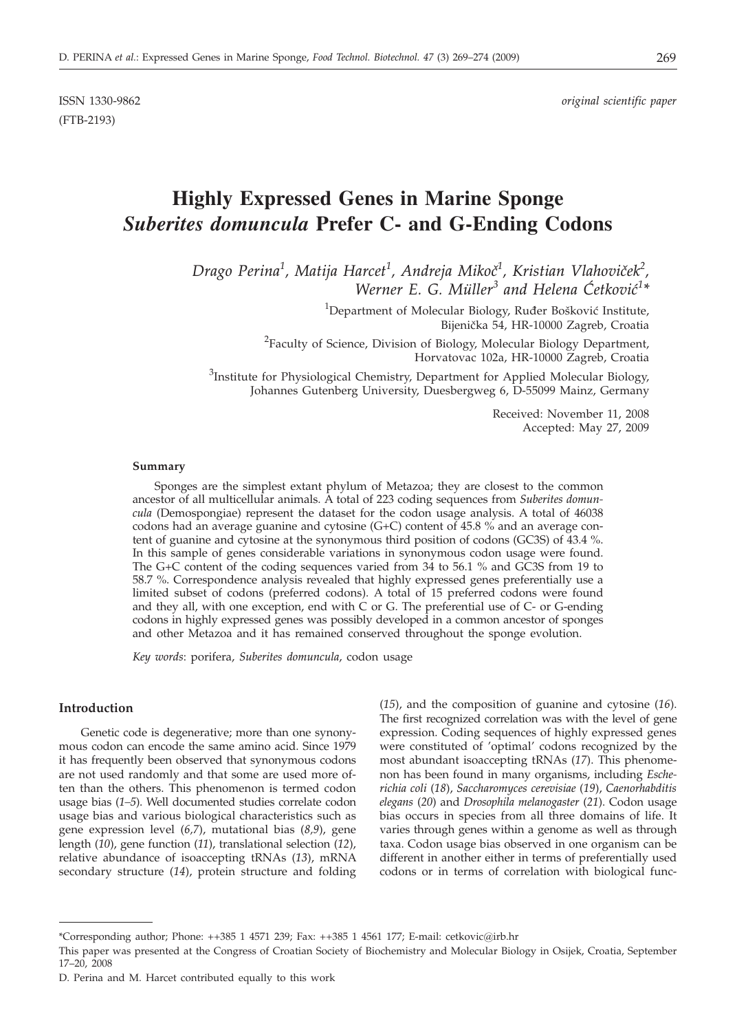(FTB-2193)

ISSN 1330-9862 *original scientific paper*

# **Highly Expressed Genes in Marine Sponge** *Suberites domuncula* **Prefer C- and G-Ending Codons**

 $D$ rago Perina<sup>1</sup>, Matija Harcet<sup>1</sup>, Andreja Mikoč<sup>1</sup>, Kristian Vlahoviček<sup>2</sup>, *Werner E. G. Müller<sup>3</sup> and Helena Ćetković<sup>1</sup>\** 

> $1$ Department of Molecular Biology, Ruđer Bošković Institute, Bijenička 54, HR-10000 Zagreb, Croatia

<sup>2</sup> Faculty of Science, Division of Biology, Molecular Biology Department, Horvatovac 102a, HR-10000 Zagreb, Croatia

<sup>3</sup>Institute for Physiological Chemistry, Department for Applied Molecular Biology, Johannes Gutenberg University, Duesbergweg 6, D-55099 Mainz, Germany

> Received: November 11, 2008 Accepted: May 27, 2009

### **Summary**

Sponges are the simplest extant phylum of Metazoa; they are closest to the common ancestor of all multicellular animals. A total of 223 coding sequences from *Suberites domuncula* (Demospongiae) represent the dataset for the codon usage analysis. A total of 46038 codons had an average guanine and cytosine (G+C) content of 45.8 % and an average content of guanine and cytosine at the synonymous third position of codons (GC3S) of 43.4 %. In this sample of genes considerable variations in synonymous codon usage were found. The G+C content of the coding sequences varied from 34 to 56.1 % and GC3S from 19 to 58.7 %. Correspondence analysis revealed that highly expressed genes preferentially use a limited subset of codons (preferred codons). A total of 15 preferred codons were found and they all, with one exception, end with C or G. The preferential use of C- or G-ending codons in highly expressed genes was possibly developed in a common ancestor of sponges and other Metazoa and it has remained conserved throughout the sponge evolution.

*Key words*: porifera, *Suberites domuncula*, codon usage

## **Introduction**

Genetic code is degenerative; more than one synonymous codon can encode the same amino acid. Since 1979 it has frequently been observed that synonymous codons are not used randomly and that some are used more often than the others. This phenomenon is termed codon usage bias (*1–5*). Well documented studies correlate codon usage bias and various biological characteristics such as gene expression level (*6,7*), mutational bias (*8,9*), gene length (*10*), gene function (*11*), translational selection (*12*), relative abundance of isoaccepting tRNAs (*13*), mRNA secondary structure (*14*), protein structure and folding

(*15*), and the composition of guanine and cytosine (*16*). The first recognized correlation was with the level of gene expression. Coding sequences of highly expressed genes were constituted of 'optimal' codons recognized by the most abundant isoaccepting tRNAs (*17*). This phenomenon has been found in many organisms, including *Escherichia coli* (*18*), *Saccharomyces cerevisiae* (*19*), *Caenorhabditis elegans* (*20*) and *Drosophila melanogaster* (*21*). Codon usage bias occurs in species from all three domains of life. It varies through genes within a genome as well as through taxa. Codon usage bias observed in one organism can be different in another either in terms of preferentially used codons or in terms of correlation with biological func-

<sup>\*</sup>Corresponding author; Phone: ++385 1 4571 239; Fax: ++385 1 4561 177; E-mail: cetkovic@irb.hr

This paper was presented at the Congress of Croatian Society of Biochemistry and Molecular Biology in Osijek, Croatia, September 17–20, 2008

D. Perina and M. Harcet contributed equally to this work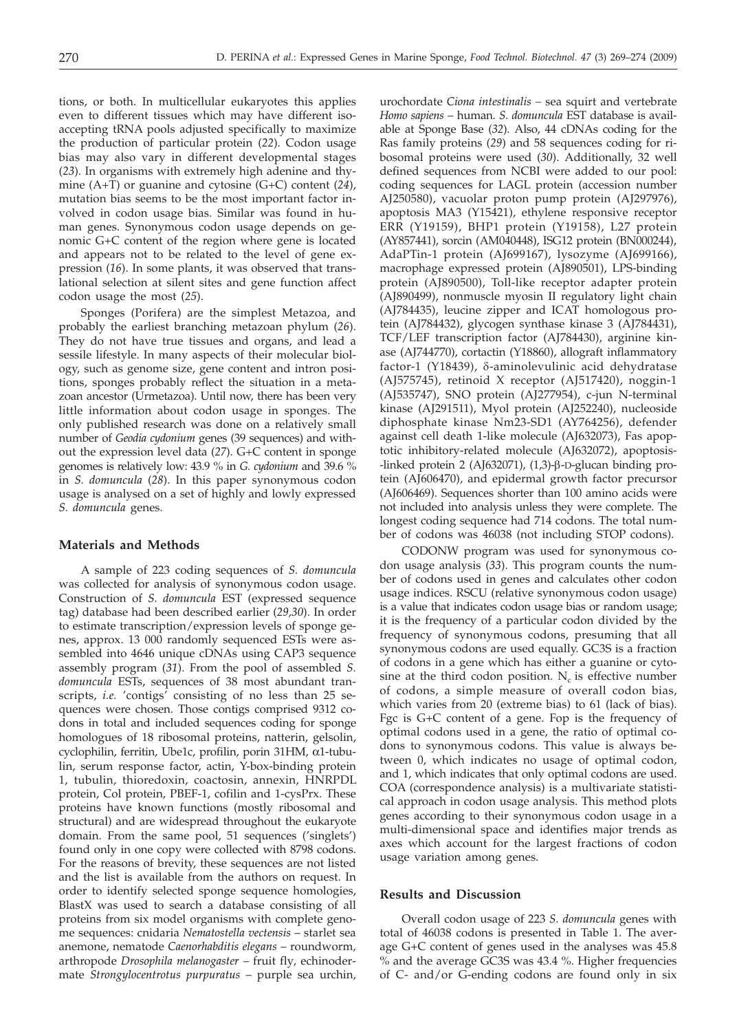tions, or both. In multicellular eukaryotes this applies even to different tissues which may have different isoaccepting tRNA pools adjusted specifically to maximize the production of particular protein (*22*). Codon usage bias may also vary in different developmental stages (*23*). In organisms with extremely high adenine and thymine (A+T) or guanine and cytosine (G+C) content (*24*), mutation bias seems to be the most important factor involved in codon usage bias. Similar was found in human genes. Synonymous codon usage depends on genomic G+C content of the region where gene is located and appears not to be related to the level of gene expression (*16*). In some plants, it was observed that translational selection at silent sites and gene function affect codon usage the most (*25*).

Sponges (Porifera) are the simplest Metazoa, and probably the earliest branching metazoan phylum (*26*). They do not have true tissues and organs, and lead a sessile lifestyle. In many aspects of their molecular biology, such as genome size, gene content and intron positions, sponges probably reflect the situation in a metazoan ancestor (Urmetazoa). Until now, there has been very little information about codon usage in sponges. The only published research was done on a relatively small number of *Geodia cydonium* genes (39 sequences) and without the expression level data (*27*). G+C content in sponge genomes is relatively low: 43.9 % in *G. cydonium* and 39.6 % in *S. domuncula* (*28*). In this paper synonymous codon usage is analysed on a set of highly and lowly expressed *S. domuncula* genes.

#### **Materials and Methods**

A sample of 223 coding sequences of *S. domuncula* was collected for analysis of synonymous codon usage. Construction of *S. domuncula* EST (expressed sequence tag) database had been described earlier (*29,30*). In order to estimate transcription/expression levels of sponge genes, approx. 13 000 randomly sequenced ESTs were assembled into 4646 unique cDNAs using CAP3 sequence assembly program (*31*). From the pool of assembled *S. domuncula* ESTs, sequences of 38 most abundant transcripts, *i.e.* 'contigs' consisting of no less than 25 sequences were chosen. Those contigs comprised 9312 codons in total and included sequences coding for sponge homologues of 18 ribosomal proteins, natterin, gelsolin, cyclophilin, ferritin, Ube1c, profilin, porin 31HM, α1-tubulin, serum response factor, actin, Y-box-binding protein 1, tubulin, thioredoxin, coactosin, annexin, HNRPDL protein, Col protein, PBEF-1, cofilin and 1-cysPrx. These proteins have known functions (mostly ribosomal and structural) and are widespread throughout the eukaryote domain. From the same pool, 51 sequences ('singlets') found only in one copy were collected with 8798 codons. For the reasons of brevity, these sequences are not listed and the list is available from the authors on request. In order to identify selected sponge sequence homologies, BlastX was used to search a database consisting of all proteins from six model organisms with complete genome sequences: cnidaria *Nematostella vectensis* – starlet sea anemone, nematode *Caenorhabditis elegans* – roundworm*,* arthropode *Drosophila melanogaster* – fruit fly*,* echinodermate *Strongylocentrotus purpuratus* – purple sea urchin*,*

urochordate *Ciona intestinalis –* sea squirt and vertebrate *Homo sapiens* – human. *S. domuncula* EST database is available at Sponge Base (*32*). Also, 44 cDNAs coding for the Ras family proteins (*29*) and 58 sequences coding for ribosomal proteins were used (*30*). Additionally, 32 well defined sequences from NCBI were added to our pool: coding sequences for LAGL protein (accession number AJ250580), vacuolar proton pump protein (AJ297976), apoptosis MA3 (Y15421), ethylene responsive receptor ERR (Y19159), BHP1 protein (Y19158), L27 protein (AY857441), sorcin (AM040448), ISG12 protein (BN000244), AdaPTin-1 protein (AJ699167), lysozyme (AJ699166), macrophage expressed protein (AJ890501), LPS-binding protein (AJ890500), Toll-like receptor adapter protein (AJ890499), nonmuscle myosin II regulatory light chain (AJ784435), leucine zipper and ICAT homologous protein (AJ784432), glycogen synthase kinase 3 (AJ784431), TCF/LEF transcription factor (AJ784430), arginine kinase (AJ744770), cortactin (Y18860), allograft inflammatory factor-1 (Y18439),  $\delta$ -aminolevulinic acid dehydratase (AJ575745), retinoid X receptor (AJ517420), noggin-1 (AJ535747), SNO protein (AJ277954), c-jun N-terminal kinase (AJ291511), Myol protein (AJ252240), nucleoside diphosphate kinase Nm23-SD1 (AY764256), defender against cell death 1-like molecule (AJ632073), Fas apoptotic inhibitory-related molecule (AJ632072), apoptosis-  $-$ linked protein 2 (AJ632071), (1,3)- $\beta$ -D-glucan binding protein (AJ606470), and epidermal growth factor precursor (AJ606469). Sequences shorter than 100 amino acids were not included into analysis unless they were complete. The longest coding sequence had 714 codons. The total number of codons was 46038 (not including STOP codons).

CODONW program was used for synonymous codon usage analysis (*33*). This program counts the number of codons used in genes and calculates other codon usage indices. RSCU (relative synonymous codon usage) is a value that indicates codon usage bias or random usage; it is the frequency of a particular codon divided by the frequency of synonymous codons, presuming that all synonymous codons are used equally. GC3S is a fraction of codons in a gene which has either a guanine or cytosine at the third codon position.  $N_c$  is effective number of codons, a simple measure of overall codon bias, which varies from 20 (extreme bias) to 61 (lack of bias). Fgc is G+C content of a gene. Fop is the frequency of optimal codons used in a gene, the ratio of optimal codons to synonymous codons. This value is always between 0, which indicates no usage of optimal codon, and 1, which indicates that only optimal codons are used. COA (correspondence analysis) is a multivariate statistical approach in codon usage analysis. This method plots genes according to their synonymous codon usage in a multi-dimensional space and identifies major trends as axes which account for the largest fractions of codon usage variation among genes.

### **Results and Discussion**

Overall codon usage of 223 *S. domuncula* genes with total of 46038 codons is presented in Table 1. The average G+C content of genes used in the analyses was 45.8 % and the average GC3S was 43.4 %. Higher frequencies of C- and/or G-ending codons are found only in six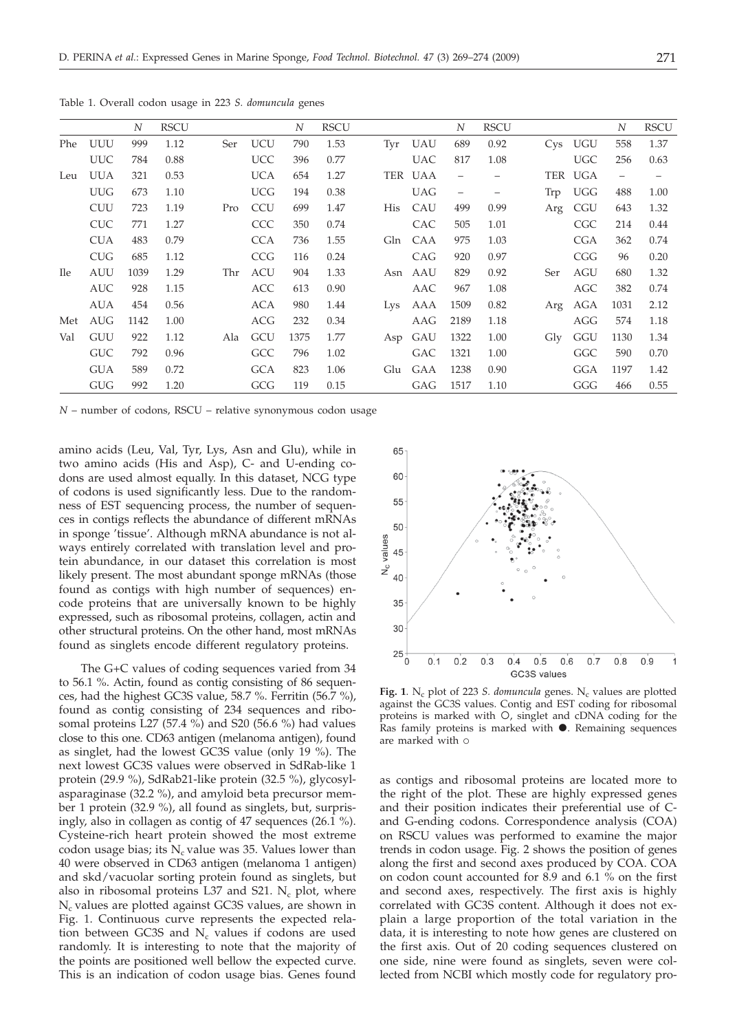|            |            | N    | <b>RSCU</b> |     |            | N    | <b>RSCU</b> |            |            | N                        | <b>RSCU</b> |           |            | N    | <b>RSCU</b> |
|------------|------------|------|-------------|-----|------------|------|-------------|------------|------------|--------------------------|-------------|-----------|------------|------|-------------|
|            |            |      |             |     |            |      |             |            |            |                          |             |           |            |      |             |
| Phe        | <b>UUU</b> | 999  | 1.12        | Ser | <b>UCU</b> | 790  | 1.53        | Tyr        | UAU        | 689                      | 0.92        | Cys       | <b>UGU</b> | 558  | 1.37        |
|            | <b>UUC</b> | 784  | 0.88        |     | <b>UCC</b> | 396  | 0.77        |            | <b>UAC</b> | 817                      | 1.08        |           | <b>UGC</b> | 256  | 0.63        |
| Leu        | <b>UUA</b> | 321  | 0.53        |     | <b>UCA</b> | 654  | 1.27        |            | TER UAA    |                          |             |           | TER UGA    |      |             |
|            | <b>UUG</b> | 673  | 1.10        |     | <b>UCG</b> | 194  | 0.38        |            | <b>UAG</b> | $\overline{\phantom{a}}$ |             | Trp       | <b>UGG</b> | 488  | 1.00        |
|            | <b>CUU</b> | 723  | 1.19        | Pro | <b>CCU</b> | 699  | 1.47        | <b>His</b> | CAU        | 499                      | 0.99        | Arg       | <b>CGU</b> | 643  | 1.32        |
|            | <b>CUC</b> | 771  | 1.27        |     | CCC        | 350  | 0.74        |            | CAC        | 505                      | 1.01        |           | CGC        | 214  | 0.44        |
|            | <b>CUA</b> | 483  | 0.79        |     | <b>CCA</b> | 736  | 1.55        | Gln        | CAA        | 975                      | 1.03        |           | <b>CGA</b> | 362  | 0.74        |
|            | <b>CUG</b> | 685  | 1.12        |     | <b>CCG</b> | 116  | 0.24        |            | CAG        | 920                      | 0.97        |           | CGG        | 96   | 0.20        |
| <b>Ile</b> | AUU        | 1039 | 1.29        | Thr | ACU        | 904  | 1.33        |            | Asn AAU    | 829                      | 0.92        | Ser       | AGU        | 680  | 1.32        |
|            | <b>AUC</b> | 928  | 1.15        |     | <b>ACC</b> | 613  | 0.90        |            | AAC        | 967                      | 1.08        |           | AGC        | 382  | 0.74        |
|            | <b>AUA</b> | 454  | 0.56        |     | <b>ACA</b> | 980  | 1.44        | Lys        | AAA        | 1509                     | 0.82        | Arg       | AGA        | 1031 | 2.12        |
| Met        | <b>AUG</b> | 1142 | 1.00        |     | ACG        | 232  | 0.34        |            | AAG        | 2189                     | 1.18        |           | AGG        | 574  | 1.18        |
| Val        | <b>GUU</b> | 922  | 1.12        | Ala | GCU        | 1375 | 1.77        |            | Asp GAU    | 1322                     | 1.00        | $\rm Glv$ | GGU        | 1130 | 1.34        |
|            | <b>GUC</b> | 792  | 0.96        |     | GCC        | 796  | 1.02        |            | GAC        | 1321                     | 1.00        |           | GGC        | 590  | 0.70        |
|            | <b>GUA</b> | 589  | 0.72        |     | <b>GCA</b> | 823  | 1.06        | Glu        | GAA        | 1238                     | 0.90        |           | <b>GGA</b> | 1197 | 1.42        |
|            | <b>GUG</b> | 992  | 1.20        |     | GCG        | 119  | 0.15        |            | GAG        | 1517                     | 1.10        |           | GGG        | 466  | 0.55        |

Table 1. Overall codon usage in 223 *S. domuncula* genes

*N* – number of codons, RSCU – relative synonymous codon usage

amino acids (Leu, Val, Tyr, Lys, Asn and Glu), while in two amino acids (His and Asp), C- and U-ending codons are used almost equally. In this dataset, NCG type of codons is used significantly less. Due to the randomness of EST sequencing process, the number of sequences in contigs reflects the abundance of different mRNAs in sponge 'tissue'. Although mRNA abundance is not always entirely correlated with translation level and protein abundance, in our dataset this correlation is most likely present. The most abundant sponge mRNAs (those found as contigs with high number of sequences) encode proteins that are universally known to be highly expressed, such as ribosomal proteins, collagen, actin and other structural proteins. On the other hand, most mRNAs found as singlets encode different regulatory proteins.

The G+C values of coding sequences varied from 34 to 56.1 %. Actin, found as contig consisting of 86 sequences, had the highest GC3S value, 58.7 %. Ferritin (56.7 %), found as contig consisting of 234 sequences and ribosomal proteins L27 (57.4 %) and S20 (56.6 %) had values close to this one. CD63 antigen (melanoma antigen), found as singlet, had the lowest GC3S value (only 19 %). The next lowest GC3S values were observed in SdRab-like 1 protein (29.9 %), SdRab21-like protein (32.5 %), glycosylasparaginase (32.2 %), and amyloid beta precursor member 1 protein (32.9 %), all found as singlets, but, surprisingly, also in collagen as contig of 47 sequences (26.1 %). Cysteine-rich heart protein showed the most extreme codon usage bias; its  $N_c$  value was 35. Values lower than 40 were observed in CD63 antigen (melanoma 1 antigen) and skd/vacuolar sorting protein found as singlets, but also in ribosomal proteins L37 and S21.  $N_c$  plot, where N<sub>c</sub> values are plotted against GC3S values, are shown in Fig. 1. Continuous curve represents the expected relation between GC3S and  $N_c$  values if codons are used randomly. It is interesting to note that the majority of the points are positioned well bellow the expected curve. This is an indication of codon usage bias. Genes found



Fig. 1.  $N_c$  plot of 223 *S. domuncula* genes.  $N_c$  values are plotted against the GC3S values. Contig and EST coding for ribosomal proteins is marked with O, singlet and cDNA coding for the Ras family proteins is marked with  $\bullet$ . Remaining sequences are marked with

as contigs and ribosomal proteins are located more to the right of the plot. These are highly expressed genes and their position indicates their preferential use of Cand G-ending codons. Correspondence analysis (COA) on RSCU values was performed to examine the major trends in codon usage. Fig. 2 shows the position of genes along the first and second axes produced by COA. COA on codon count accounted for 8.9 and 6.1 % on the first and second axes, respectively. The first axis is highly correlated with GC3S content. Although it does not explain a large proportion of the total variation in the data, it is interesting to note how genes are clustered on the first axis. Out of 20 coding sequences clustered on one side, nine were found as singlets, seven were collected from NCBI which mostly code for regulatory pro-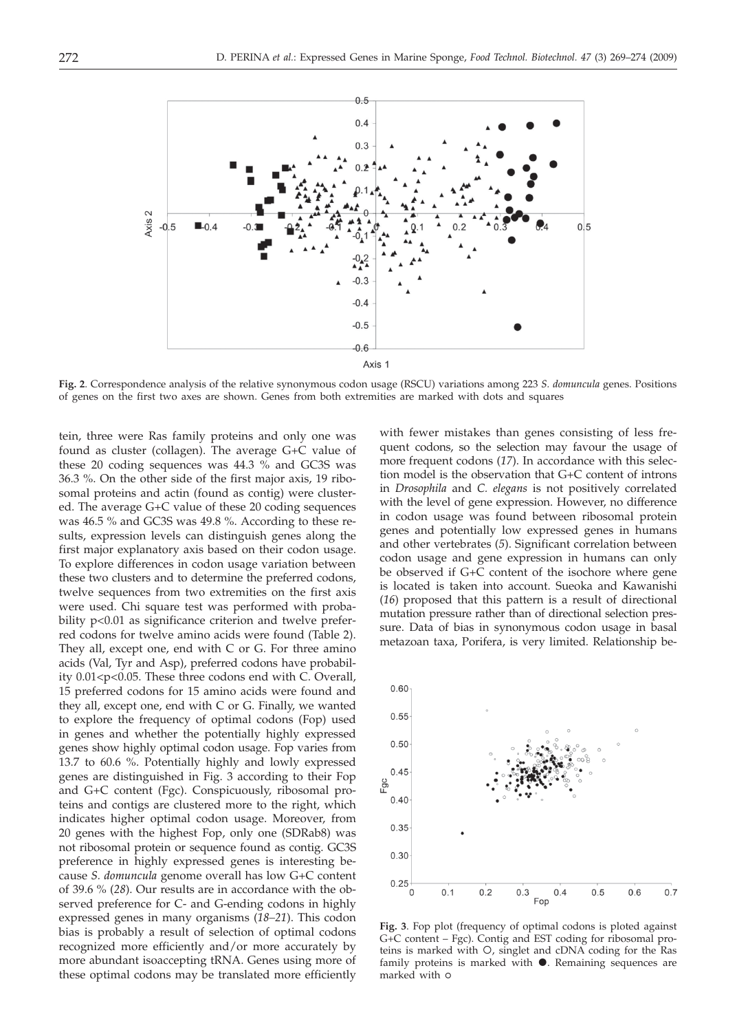

**Fig. 2**. Correspondence analysis of the relative synonymous codon usage (RSCU) variations among 223 *S. domuncula* genes. Positions of genes on the first two axes are shown. Genes from both extremities are marked with dots and squares

tein, three were Ras family proteins and only one was found as cluster (collagen). The average G+C value of these 20 coding sequences was 44.3 % and GC3S was 36.3 %. On the other side of the first major axis, 19 ribosomal proteins and actin (found as contig) were clustered. The average G+C value of these 20 coding sequences was 46.5 % and GC3S was 49.8 %. According to these results, expression levels can distinguish genes along the first major explanatory axis based on their codon usage. To explore differences in codon usage variation between these two clusters and to determine the preferred codons, twelve sequences from two extremities on the first axis were used. Chi square test was performed with probability  $p<0.01$  as significance criterion and twelve preferred codons for twelve amino acids were found (Table 2). They all, except one, end with C or G. For three amino acids (Val, Tyr and Asp), preferred codons have probability 0.01<p<0.05. These three codons end with C. Overall, 15 preferred codons for 15 amino acids were found and they all, except one, end with C or G. Finally, we wanted to explore the frequency of optimal codons (Fop) used in genes and whether the potentially highly expressed genes show highly optimal codon usage. Fop varies from 13.7 to 60.6 %. Potentially highly and lowly expressed genes are distinguished in Fig. 3 according to their Fop and G+C content (Fgc). Conspicuously, ribosomal proteins and contigs are clustered more to the right, which indicates higher optimal codon usage. Moreover, from 20 genes with the highest Fop, only one (SDRab8) was not ribosomal protein or sequence found as contig. GC3S preference in highly expressed genes is interesting because *S. domuncula* genome overall has low G+C content of 39.6 % (*28*). Our results are in accordance with the observed preference for C- and G-ending codons in highly expressed genes in many organisms (*18–21*). This codon bias is probably a result of selection of optimal codons recognized more efficiently and/or more accurately by more abundant isoaccepting tRNA. Genes using more of these optimal codons may be translated more efficiently

with fewer mistakes than genes consisting of less frequent codons, so the selection may favour the usage of more frequent codons (*17*). In accordance with this selection model is the observation that G+C content of introns in *Drosophila* and *C. elegans* is not positively correlated with the level of gene expression. However, no difference in codon usage was found between ribosomal protein genes and potentially low expressed genes in humans and other vertebrates (*5*). Significant correlation between codon usage and gene expression in humans can only be observed if G+C content of the isochore where gene is located is taken into account. Sueoka and Kawanishi (*16*) proposed that this pattern is a result of directional mutation pressure rather than of directional selection pressure. Data of bias in synonymous codon usage in basal metazoan taxa, Porifera, is very limited. Relationship be-



**Fig. 3**. Fop plot (frequency of optimal codons is ploted against G+C content – Fgc). Contig and EST coding for ribosomal proteins is marked with O, singlet and cDNA coding for the Ras family proteins is marked with  $\bullet$ . Remaining sequences are marked with 0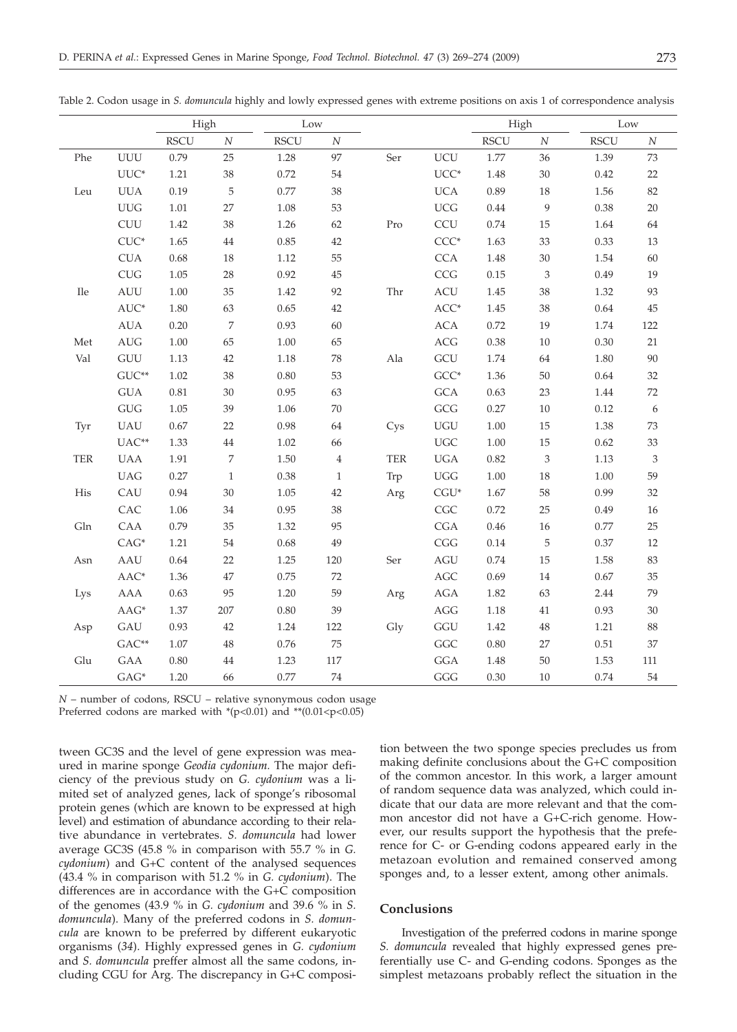|            |             | High        |                | Low         |              |            |                | High        |                             | Low         |          |
|------------|-------------|-------------|----------------|-------------|--------------|------------|----------------|-------------|-----------------------------|-------------|----------|
|            |             | <b>RSCU</b> | $\cal N$       | <b>RSCU</b> | $\cal N$     |            |                | <b>RSCU</b> | $\boldsymbol{N}$            | <b>RSCU</b> | $\cal N$ |
| Phe        | ${\rm UUU}$ | 0.79        | 25             | 1.28        | 97           | Ser        | $UCU$          | 1.77        | 36                          | 1.39        | 73       |
|            | UUC*        | 1.21        | 38             | 0.72        | $54\,$       |            | UCC*           | 1.48        | 30                          | 0.42        | $22\,$   |
| Leu        | <b>UUA</b>  | 0.19        | 5              | 0.77        | 38           |            | <b>UCA</b>     | 0.89        | 18                          | 1.56        | 82       |
|            | ${\rm UUG}$ | $1.01\,$    | $27\,$         | 1.08        | 53           |            | <b>UCG</b>     | 0.44        | $\boldsymbol{9}$            | $0.38\,$    | $20\,$   |
|            | CUU         | 1.42        | 38             | 1.26        | 62           | Pro        | CCU            | 0.74        | 15                          | 1.64        | 64       |
|            | $CUC^*$     | 1.65        | $\bf 44$       | 0.85        | $42\,$       |            | CCC*           | 1.63        | 33                          | 0.33        | 13       |
|            | <b>CUA</b>  | 0.68        | 18             | 1.12        | 55           |            | <b>CCA</b>     | 1.48        | 30                          | 1.54        | 60       |
|            | CUG         | $1.05\,$    | 28             | 0.92        | 45           |            | CCG            | 0.15        | $\ensuremath{\mathfrak{Z}}$ | 0.49        | 19       |
| <b>Ile</b> | <b>AUU</b>  | $1.00\,$    | 35             | 1.42        | 92           | Thr        | ACU            | 1.45        | $38\,$                      | 1.32        | 93       |
|            | $AUC^*$     | 1.80        | 63             | 0.65        | $42\,$       |            | ACC*           | 1.45        | 38                          | 0.64        | $45\,$   |
|            | <b>AUA</b>  | 0.20        | $\,7$          | 0.93        | 60           |            | ACA            | 0.72        | 19                          | 1.74        | 122      |
| Met        | <b>AUG</b>  | $1.00\,$    | 65             | 1.00        | 65           |            | ACG            | 0.38        | 10                          | 0.30        | 21       |
| Val        | <b>GUU</b>  | 1.13        | 42             | 1.18        | 78           | Ala        | GCU            | 1.74        | 64                          | 1.80        | 90       |
|            | GUC**       | 1.02        | 38             | 0.80        | 53           |            | GCC*           | 1.36        | $50\,$                      | 0.64        | 32       |
|            | <b>GUA</b>  | $0.81\,$    | 30             | 0.95        | 63           |            | <b>GCA</b>     | 0.63        | 23                          | 1.44        | 72       |
|            | <b>GUG</b>  | 1.05        | 39             | 1.06        | 70           |            | GCG            | 0.27        | 10                          | 0.12        | 6        |
| Tyr        | <b>UAU</b>  | 0.67        | 22             | 0.98        | 64           | Cys        | UGU            | 1.00        | 15                          | 1.38        | 73       |
|            | UAC**       | 1.33        | $44\,$         | 1.02        | 66           |            | <b>UGC</b>     | 1.00        | 15                          | 0.62        | 33       |
| <b>TER</b> | <b>UAA</b>  | 1.91        | $\overline{7}$ | 1.50        | $\,4$        | <b>TER</b> | <b>UGA</b>     | 0.82        | $\mathfrak z$               | 1.13        | 3        |
|            | <b>UAG</b>  | 0.27        | $\mathbf{1}$   | 0.38        | $\mathbf{1}$ | Trp        | $_{\rm UGG}$   | 1.00        | 18                          | $1.00\,$    | 59       |
| His        | CAU         | 0.94        | 30             | 1.05        | $42\,$       | Arg        | $CGU^*$        | 1.67        | 58                          | 0.99        | 32       |
|            | CAC         | 1.06        | 34             | 0.95        | 38           |            | CGC            | 0.72        | 25                          | 0.49        | 16       |
| Gln        | CAA         | 0.79        | 35             | 1.32        | 95           |            | CGA            | 0.46        | 16                          | 0.77        | 25       |
|            | $CAG^*$     | 1.21        | 54             | 0.68        | 49           |            | CGG            | 0.14        | $\mathbf 5$                 | 0.37        | 12       |
| Asn        | <b>AAU</b>  | 0.64        | 22             | 1.25        | 120          | Ser        | <b>AGU</b>     | 0.74        | 15                          | 1.58        | 83       |
|            | AAC*        | 1.36        | $47\,$         | 0.75        | $72\,$       |            | $\rm{AGC}$     | 0.69        | $14\,$                      | 0.67        | 35       |
| Lys        | AAA         | 0.63        | 95             | 1.20        | 59           | Arg        | AGA            | 1.82        | 63                          | 2.44        | 79       |
|            | AAG*        | 1.37        | 207            | 0.80        | 39           |            | AGG            | 1.18        | 41                          | 0.93        | 30       |
| Asp        | ${\rm GAU}$ | 0.93        | 42             | 1.24        | 122          | Gly        | GGU            | 1.42        | $48\,$                      | 1.21        | 88       |
|            | GAC**       | $1.07\,$    | $48\,$         | 0.76        | 75           |            | GGC            | 0.80        | 27                          | $0.51\,$    | 37       |
| Glu        | GAA         | $0.80\,$    | 44             | 1.23        | $117\,$      |            | GGA            | 1.48        | 50                          | 1.53        | 111      |
|            | $GAG^*$     | 1.20        | 66             | 0.77        | 74           |            | $\mathsf{GGG}$ | 0.30        | 10                          | 0.74        | $54\,$   |

Table 2. Codon usage in *S. domuncula* highly and lowly expressed genes with extreme positions on axis 1 of correspondence analysis

*N* – number of codons, RSCU – relative synonymous codon usage

Preferred codons are marked with  $*(p<0.01)$  and  $**$ (0.01<p<0.05)

tween GC3S and the level of gene expression was meaured in marine sponge *Geodia cydonium.* The major deficiency of the previous study on *G. cydonium* was a limited set of analyzed genes, lack of sponge's ribosomal protein genes (which are known to be expressed at high level) and estimation of abundance according to their relative abundance in vertebrates. *S. domuncula* had lower average GC3S (45.8 % in comparison with 55.7 % in *G. cydonium*) and G+C content of the analysed sequences (43.4 % in comparison with 51.2 % in *G. cydonium*). The differences are in accordance with the G+C composition of the genomes (43.9 % in *G. cydonium* and 39.6 % in *S. domuncula*). Many of the preferred codons in *S. domuncula* are known to be preferred by different eukaryotic organisms (*34*). Highly expressed genes in *G. cydonium* and *S. domuncula* preffer almost all the same codons, including CGU for Arg. The discrepancy in G+C composition between the two sponge species precludes us from making definite conclusions about the G+C composition of the common ancestor. In this work, a larger amount of random sequence data was analyzed, which could indicate that our data are more relevant and that the common ancestor did not have a G+C-rich genome. However, our results support the hypothesis that the preference for C- or G-ending codons appeared early in the metazoan evolution and remained conserved among sponges and, to a lesser extent, among other animals.

## **Conclusions**

Investigation of the preferred codons in marine sponge *S. domuncula* revealed that highly expressed genes preferentially use C- and G-ending codons. Sponges as the simplest metazoans probably reflect the situation in the